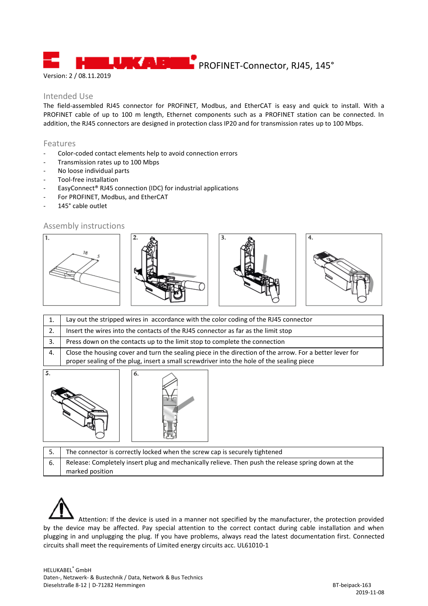PROFINET-Connector, RJ45, 145°

# Version: 2 / 08.11.2019

### Intended Use

The field-assembled RJ45 connector for PROFINET, Modbus, and EtherCAT is easy and quick to install. With a PROFINET cable of up to 100 m length, Ethernet components such as a PROFINET station can be connected. In addition, the RJ45 connectors are designed in protection class IP20 and for transmission rates up to 100 Mbps.

#### Features

- Color-coded contact elements help to avoid connection errors
- Transmission rates up to 100 Mbps
- No loose individual parts
- Tool-free installation
- EasyConnect® RJ45 connection (IDC) for industrial applications
- For PROFINET, Modbus, and EtherCAT
- 145° cable outlet

#### Assembly instructions



|    | Lay out the stripped wires in accordance with the color coding of the RJ45 connector                                                                                                                  |  |
|----|-------------------------------------------------------------------------------------------------------------------------------------------------------------------------------------------------------|--|
|    | Insert the wires into the contacts of the RJ45 connector as far as the limit stop                                                                                                                     |  |
|    | Press down on the contacts up to the limit stop to complete the connection                                                                                                                            |  |
| 4. | Close the housing cover and turn the sealing piece in the direction of the arrow. For a better lever for<br>proper sealing of the plug, insert a small screwdriver into the hole of the sealing piece |  |
|    |                                                                                                                                                                                                       |  |



|    | The connector is correctly locked when the screw cap is securely tightened                         |
|----|----------------------------------------------------------------------------------------------------|
| 6. | Release: Completely insert plug and mechanically relieve. Then push the release spring down at the |
|    | marked position                                                                                    |

Attention: If the device is used in a manner not specified by the manufacturer, the protection provided by the device may be affected. Pay special attention to the correct contact during cable installation and when plugging in and unplugging the plug. If you have problems, always read the latest documentation first. Connected circuits shall meet the requirements of Limited energy circuits acc. UL61010-1